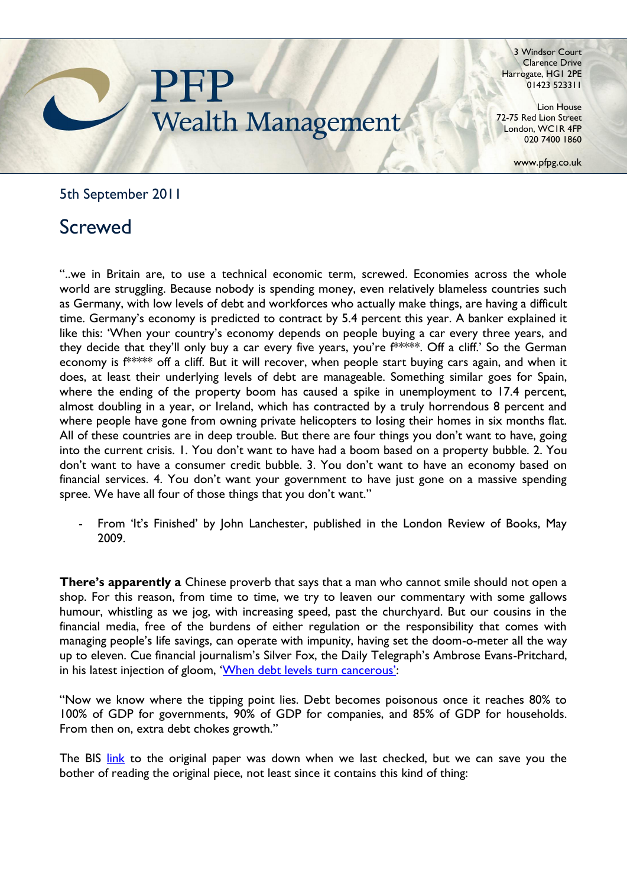## **Wealth Management**

3 Windsor Court Clarence Drive Harrogate, HG1 2PE 01423 523311

Lion House 72-75 Red Lion Street London, WC1R 4FP 020 7400 1860

www.pfpg.co.uk

5th September 2011

## Screwed

"..we in Britain are, to use a technical economic term, screwed. Economies across the whole world are struggling. Because nobody is spending money, even relatively blameless countries such as Germany, with low levels of debt and workforces who actually make things, are having a difficult time. Germany's economy is predicted to contract by 5.4 percent this year. A banker explained it like this: 'When your country's economy depends on people buying a car every three years, and they decide that they'll only buy a car every five years, you're  $f^{***}$ . Off a cliff.' So the German economy is f\*\*\*\*\* off a cliff. But it will recover, when people start buying cars again, and when it does, at least their underlying levels of debt are manageable. Something similar goes for Spain, where the ending of the property boom has caused a spike in unemployment to 17.4 percent, almost doubling in a year, or Ireland, which has contracted by a truly horrendous 8 percent and where people have gone from owning private helicopters to losing their homes in six months flat. All of these countries are in deep trouble. But there are four things you don"t want to have, going into the current crisis. 1. You don"t want to have had a boom based on a property bubble. 2. You don"t want to have a consumer credit bubble. 3. You don"t want to have an economy based on financial services. 4. You don't want your government to have just gone on a massive spending spree. We have all four of those things that you don't want."

From 'It's Finished' by John Lanchester, published in the London Review of Books, May 2009.

**There's apparently a** Chinese proverb that says that a man who cannot smile should not open a shop. For this reason, from time to time, we try to leaven our commentary with some gallows humour, whistling as we jog, with increasing speed, past the churchyard. But our cousins in the financial media, free of the burdens of either regulation or the responsibility that comes with managing people"s life savings, can operate with impunity, having set the doom-o-meter all the way up to eleven. Cue financial journalism"s Silver Fox, the Daily Telegraph"s Ambrose Evans-Pritchard, in his latest injection of gloom, 'When debt levels turn cancerous':

"Now we know where the tipping point lies. Debt becomes poisonous once it reaches 80% to 100% of GDP for governments, 90% of GDP for companies, and 85% of GDP for households. From then on, extra debt chokes growth."

The BIS [link](http://www.bis.org/publ/othp16.pdf) to the original paper was down when we last checked, but we can save you the bother of reading the original piece, not least since it contains this kind of thing: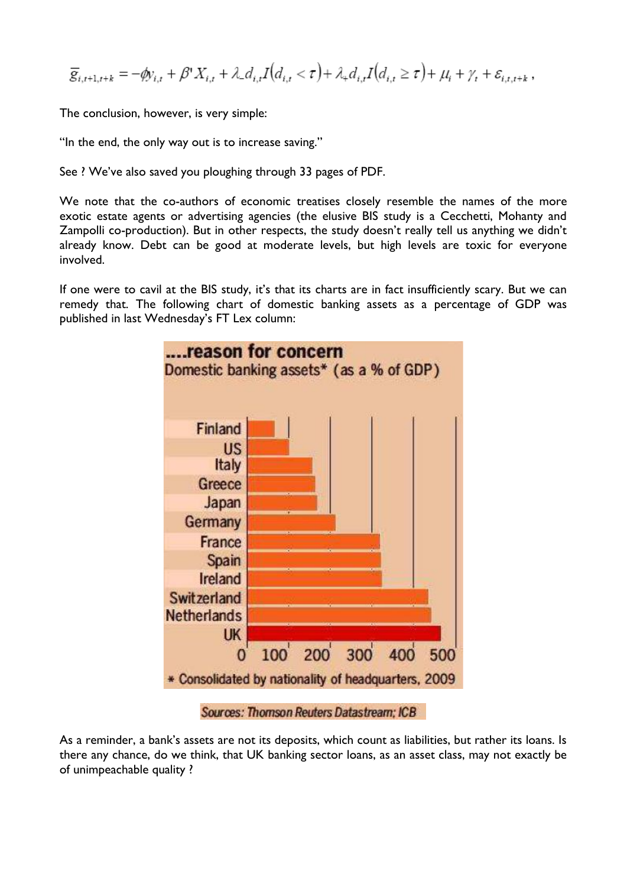$$
\overline{g}_{i,t+1,t+k} = -\phi y_{i,t} + \beta' X_{i,t} + \lambda_- d_{i,t} I(d_{i,t} < \tau) + \lambda_+ d_{i,t} I(d_{i,t} \geq \tau) + \mu_i + \gamma_t + \varepsilon_{i,t,t+k},
$$

The conclusion, however, is very simple:

"In the end, the only way out is to increase saving."

See ? We've also saved you ploughing through 33 pages of PDF.

We note that the co-authors of economic treatises closely resemble the names of the more exotic estate agents or advertising agencies (the elusive BIS study is a Cecchetti, Mohanty and Zampolli co-production). But in other respects, the study doesn't really tell us anything we didn't already know. Debt can be good at moderate levels, but high levels are toxic for everyone involved.

If one were to cavil at the BIS study, it's that its charts are in fact insufficiently scary. But we can remedy that. The following chart of domestic banking assets as a percentage of GDP was published in last Wednesday's FT Lex column:



Sources: Thomson Reuters Datastream: ICB

As a reminder, a bank's assets are not its deposits, which count as liabilities, but rather its loans. Is there any chance, do we think, that UK banking sector loans, as an asset class, may not exactly be of unimpeachable quality ?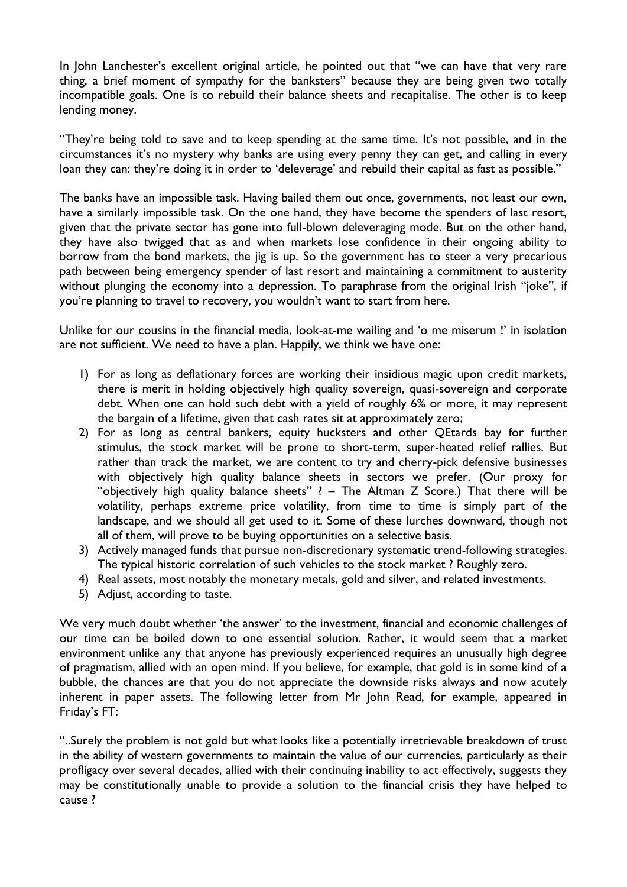In John Lanchester's excellent original article, he pointed out that "we can have that very rare thing, a brief moment of sympathy for the banksters" because they are being given two totally incompatible goals. One is to rebuild their balance sheets and recapitalise. The other is to keep lending money.

"They're being told to save and to keep spending at the same time. It's not possible, and in the circumstances it's no mystery why banks are using every penny they can get, and calling in every loan they can: they're doing it in order to 'deleverage' and rebuild their capital as fast as possible."

The banks have an impossible task. Having bailed them out once, governments, not least our own, have a similarly impossible task. On the one hand, they have become the spenders of last resort, given that the private sector has gone into full-blown deleveraging mode. But on the other hand, they have also twigged that as and when markets lose confidence in their ongoing ability to borrow from the bond markets, the jig is up. So the government has to steer a very precarious path between being emergency spender of last resort and maintaining a commitment to austerity without plunging the economy into a depression. To paraphrase from the original Irish "joke", if you're planning to travel to recovery, you wouldn't want to start from here.

Unlike for our cousins in the financial media, look-at-me wailing and "o me miserum !" in isolation are not sufficient. We need to have a plan. Happily, we think we have one:

- 1) For as long as deflationary forces are working their insidious magic upon credit markets, there is merit in holding objectively high quality sovereign, quasi-sovereign and corporate debt. When one can hold such debt with a yield of roughly 6% or more, it may represent the bargain of a lifetime, given that cash rates sit at approximately zero;
- 2) For as long as central bankers, equity hucksters and other QEtards bay for further stimulus, the stock market will be prone to short-term, super-heated relief rallies. But rather than track the market, we are content to try and cherry-pick defensive businesses with objectively high quality balance sheets in sectors we prefer. (Our proxy for "objectively high quality balance sheets" ? – The Altman Z Score.) That there will be volatility, perhaps extreme price volatility, from time to time is simply part of the landscape, and we should all get used to it. Some of these lurches downward, though not all of them, will prove to be buying opportunities on a selective basis.
- 3) Actively managed funds that pursue non-discretionary systematic trend-following strategies. The typical historic correlation of such vehicles to the stock market ? Roughly zero.
- 4) Real assets, most notably the monetary metals, gold and silver, and related investments.
- 5) Adjust, according to taste.

We very much doubt whether 'the answer' to the investment, financial and economic challenges of our time can be boiled down to one essential solution. Rather, it would seem that a market environment unlike any that anyone has previously experienced requires an unusually high degree of pragmatism, allied with an open mind. If you believe, for example, that gold is in some kind of a bubble, the chances are that you do not appreciate the downside risks always and now acutely inherent in paper assets. The following letter from Mr John Read, for example, appeared in Friday's FT:

"..Surely the problem is not gold but what looks like a potentially irretrievable breakdown of trust in the ability of western governments to maintain the value of our currencies, particularly as their profligacy over several decades, allied with their continuing inability to act effectively, suggests they may be constitutionally unable to provide a solution to the financial crisis they have helped to cause ?